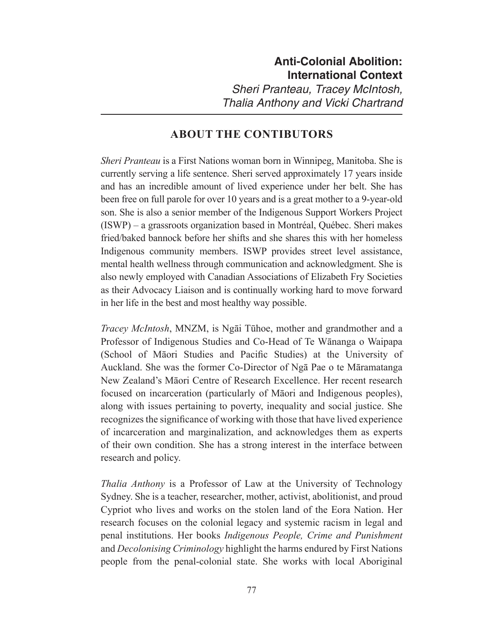*Thalia Anthony and Vicki Chartrand*

## **ABOUT THE CONTIBUTORS**

*Sheri Pranteau* is a First Nations woman born in Winnipeg, Manitoba. She is currently serving a life sentence. Sheri served approximately 17 years inside and has an incredible amount of lived experience under her belt. She has been free on full parole for over 10 years and is a great mother to a 9-year-old son. She is also a senior member of the Indigenous Support Workers Project (ISWP) – a grassroots organization based in Montré al, Qué bec. Sheri makes fried/baked bannock before her shifts and she shares this with her homeless Indigenous community members. ISWP provides street level assistance, mental health wellness through communication and acknowledgment. She is also newly employed with Canadian Associations of Elizabeth Fry Societies as their Advocacy Liaison and is continually working hard to move forward in her life in the best and most healthy way possible.

*Tracey McIntosh*, MNZM, is Ngai Tūhoe, mother and grandmother and a Professor of Indigenous Studies and Co-Head of Te Wānanga o Waipapa (School of Māori Studies and Pacific Studies) at the University of Auckland. She was the former Co-Director of Nga Pae o te Māramatanga New Zealand's Māori Centre of Research Excellence. Her recent research focused on incarceration (particularly of Māori and Indigenous peoples), along with issues pertaining to poverty, inequality and social justice. She recognizes the significance of working with those that have lived experience of incarceration and marginalization, and acknowledges them as experts of their own condition. She has a strong interest in the interface between research and policy.

*Thalia Anthony* is a Professor of Law at the University of Technology Sydney. She is a teacher, researcher, mother, activist, abolitionist, and proud Cypriot who lives and works on the stolen land of the Eora Nation. Her research focuses on the colonial legacy and systemic racism in legal and penal institutions. Her books *Indigenous People, Crime and Punishment* and *Decolonising Criminology* highlight the harms endured by First Nations people from the penal-colonial state. She works with local Aboriginal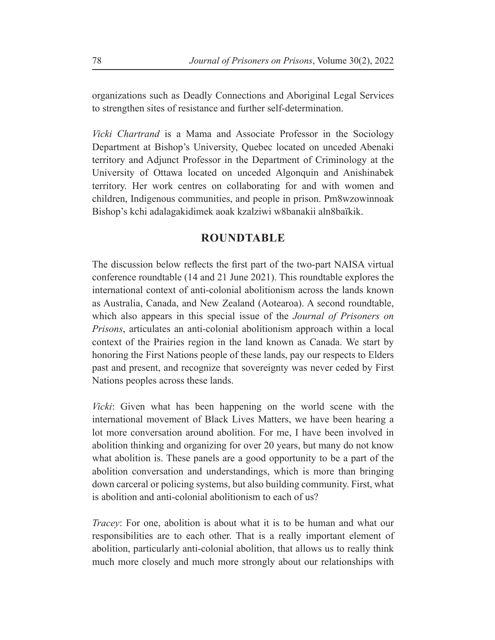organizations such as Deadly Connections and Aboriginal Legal Services to strengthen sites of resistance and further self-determination.

*Vicki Chartrand* is a Mama and Associate Professor in the Sociology Department at Bishop's University, Quebec located on unceded Abenaki territory and Adjunct Professor in the Department of Criminology at the University of Ottawa located on unceded Algonquin and Anishinabek territory. Her work centres on collaborating for and with women and children, Indigenous communities, and people in prison. Pm8wzowinnoak Bishop's kchi adalagakidimek aoak kzalziwi w8banakii aln8baïkik.

## **ROUNDTABLE**

The discussion below reflects the first part of the two-part NAISA virtual conference roundtable (14 and 21 June 2021). This roundtable explores the international context of anti-colonial abolitionism across the lands known as Australia, Canada, and New Zealand (Aotearoa). A second roundtable, which also appears in this special issue of the *Journal of Prisoners on Prisons*, articulates an anti-colonial abolitionism approach within a local context of the Prairies region in the land known as Canada. We start by honoring the First Nations people of these lands, pay our respects to Elders past and present, and recognize that sovereignty was never ceded by First Nations peoples across these lands.

*Vicki*: Given what has been happening on the world scene with the international movement of Black Lives Matters, we have been hearing a lot more conversation around abolition. For me, I have been involved in abolition thinking and organizing for over 20 years, but many do not know what abolition is. These panels are a good opportunity to be a part of the abolition conversation and understandings, which is more than bringing down carceral or policing systems, but also building community. First, what is abolition and anti-colonial abolitionism to each of us?

*Tracey*: For one, abolition is about what it is to be human and what our responsibilities are to each other. That is a really important element of abolition, particularly anti-colonial abolition, that allows us to really think much more closely and much more strongly about our relationships with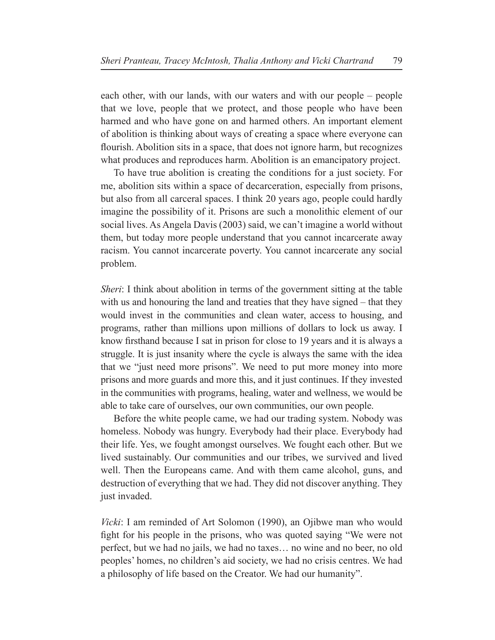each other, with our lands, with our waters and with our people – people that we love, people that we protect, and those people who have been harmed and who have gone on and harmed others. An important element of abolition is thinking about ways of creating a space where everyone can flourish. Abolition sits in a space, that does not ignore harm, but recognizes what produces and reproduces harm. Abolition is an emancipatory project.

To have true abolition is creating the conditions for a just society. For me, abolition sits within a space of decarceration, especially from prisons, but also from all carceral spaces. I think 20 years ago, people could hardly imagine the possibility of it. Prisons are such a monolithic element of our social lives. As Angela Davis (2003) said, we can't imagine a world without them, but today more people understand that you cannot incarcerate away racism. You cannot incarcerate poverty. You cannot incarcerate any social problem.

*Sheri*: I think about abolition in terms of the government sitting at the table with us and honouring the land and treaties that they have signed – that they would invest in the communities and clean water, access to housing, and programs, rather than millions upon millions of dollars to lock us away. I know firsthand because I sat in prison for close to 19 years and it is always a struggle. It is just insanity where the cycle is always the same with the idea that we "just need more prisons". We need to put more money into more prisons and more guards and more this, and it just continues. If they invested in the communities with programs, healing, water and wellness, we would be able to take care of ourselves, our own communities, our own people.

Before the white people came, we had our trading system. Nobody was homeless. Nobody was hungry. Everybody had their place. Everybody had their life. Yes, we fought amongst ourselves. We fought each other. But we lived sustainably. Our communities and our tribes, we survived and lived well. Then the Europeans came. And with them came alcohol, guns, and destruction of everything that we had. They did not discover anything. They just invaded.

*Vicki*: I am reminded of Art Solomon (1990), an Ojibwe man who would fight for his people in the prisons, who was quoted saying "We were not perfect, but we had no jails, we had no taxes… no wine and no beer, no old peoples' homes, no children's aid society, we had no crisis centres. We had a philosophy of life based on the Creator. We had our humanity".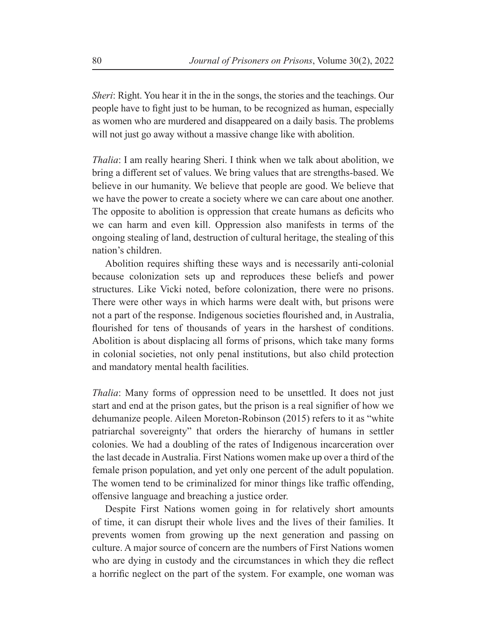*Sheri*: Right. You hear it in the in the songs, the stories and the teachings. Our people have to fight just to be human, to be recognized as human, especially as women who are murdered and disappeared on a daily basis. The problems will not just go away without a massive change like with abolition.

*Thalia*: I am really hearing Sheri. I think when we talk about abolition, we bring a different set of values. We bring values that are strengths-based. We believe in our humanity. We believe that people are good. We believe that we have the power to create a society where we can care about one another. The opposite to abolition is oppression that create humans as deficits who we can harm and even kill. Oppression also manifests in terms of the ongoing stealing of land, destruction of cultural heritage, the stealing of this nation's children.

Abolition requires shifting these ways and is necessarily anti-colonial because colonization sets up and reproduces these beliefs and power structures. Like Vicki noted, before colonization, there were no prisons. There were other ways in which harms were dealt with, but prisons were not a part of the response. Indigenous societies flourished and, in Australia, flourished for tens of thousands of years in the harshest of conditions. Abolition is about displacing all forms of prisons, which take many forms in colonial societies, not only penal institutions, but also child protection and mandatory mental health facilities.

*Thalia*: Many forms of oppression need to be unsettled. It does not just start and end at the prison gates, but the prison is a real signifier of how we dehumanize people. Aileen Moreton-Robinson (2015) refers to it as "white patriarchal sovereignty" that orders the hierarchy of humans in settler colonies. We had a doubling of the rates of Indigenous incarceration over the last decade in Australia. First Nations women make up over a third of the female prison population, and yet only one percent of the adult population. The women tend to be criminalized for minor things like traffic offending, offensive language and breaching a justice order.

Despite First Nations women going in for relatively short amounts of time, it can disrupt their whole lives and the lives of their families. It prevents women from growing up the next generation and passing on culture. A major source of concern are the numbers of First Nations women who are dying in custody and the circumstances in which they die reflect a horrific neglect on the part of the system. For example, one woman was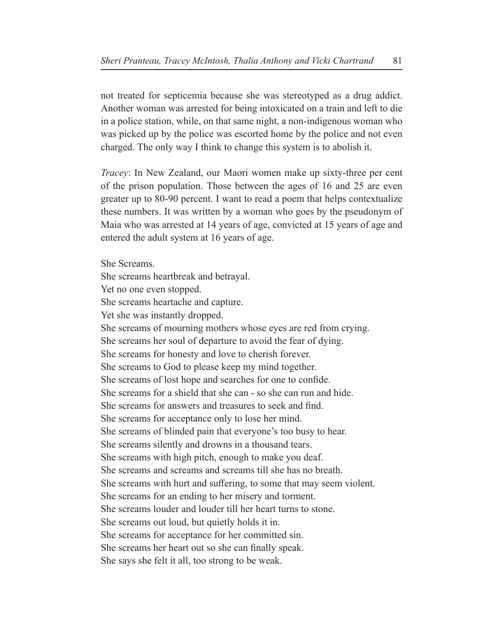not treated for septicemia because she was stereotyped as a drug addict. Another woman was arrested for being intoxicated on a train and left to die in a police station, while, on that same night, a non-indigenous woman who was picked up by the police was escorted home by the police and not even charged. The only way I think to change this system is to abolish it.

*Tracey*: In New Zealand, our Maori women make up sixty-three per cent of the prison population. Those between the ages of 16 and 25 are even greater up to 80-90 percent. I want to read a poem that helps contextualize these numbers. It was written by a woman who goes by the pseudonym of Maia who was arrested at 14 years of age, convicted at 15 years of age and entered the adult system at 16 years of age.

She Screams. She screams heartbreak and betrayal. Yet no one even stopped. She screams heartache and capture. Yet she was instantly dropped. She screams of mourning mothers whose eyes are red from crying. She screams her soul of departure to avoid the fear of dying. She screams for honesty and love to cherish forever. She screams to God to please keep my mind together. She screams of lost hope and searches for one to confide. She screams for a shield that she can - so she can run and hide. She screams for answers and treasures to seek and find. She screams for acceptance only to lose her mind. She screams of blinded pain that everyone's too busy to hear. She screams silently and drowns in a thousand tears. She screams with high pitch, enough to make you deaf. She screams and screams and screams till she has no breath. She screams with hurt and suffering, to some that may seem violent. She screams for an ending to her misery and torment. She screams louder and louder till her heart turns to stone. She screams out loud, but quietly holds it in. She screams for acceptance for her committed sin. She screams her heart out so she can finally speak. She says she felt it all, too strong to be weak.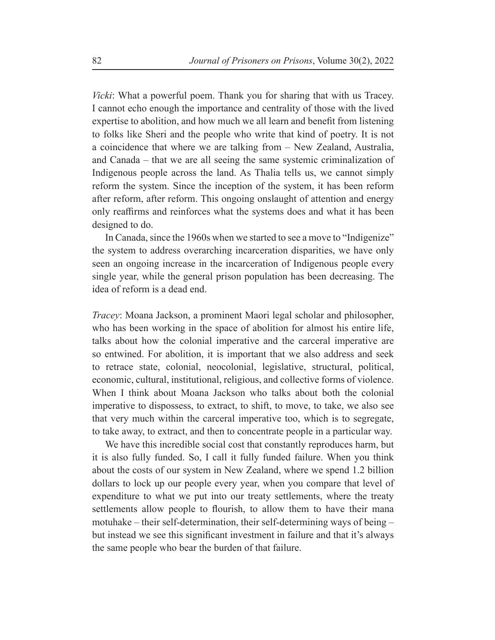*Vicki*: What a powerful poem. Thank you for sharing that with us Tracey. I cannot echo enough the importance and centrality of those with the lived expertise to abolition, and how much we all learn and benefit from listening to folks like Sheri and the people who write that kind of poetry. It is not a coincidence that where we are talking from – New Zealand, Australia, and Canada – that we are all seeing the same systemic criminalization of Indigenous people across the land. As Thalia tells us, we cannot simply reform the system. Since the inception of the system, it has been reform after reform, after reform. This ongoing onslaught of attention and energy only reaffirms and reinforces what the systems does and what it has been designed to do.

In Canada, since the 1960s when we started to see a move to "Indigenize" the system to address overarching incarceration disparities, we have only seen an ongoing increase in the incarceration of Indigenous people every single year, while the general prison population has been decreasing. The idea of reform is a dead end.

*Tracey*: Moana Jackson, a prominent Maori legal scholar and philosopher, who has been working in the space of abolition for almost his entire life, talks about how the colonial imperative and the carceral imperative are so entwined. For abolition, it is important that we also address and seek to retrace state, colonial, neocolonial, legislative, structural, political, economic, cultural, institutional, religious, and collective forms of violence. When I think about Moana Jackson who talks about both the colonial imperative to dispossess, to extract, to shift, to move, to take, we also see that very much within the carceral imperative too, which is to segregate, to take away, to extract, and then to concentrate people in a particular way.

We have this incredible social cost that constantly reproduces harm, but it is also fully funded. So, I call it fully funded failure. When you think about the costs of our system in New Zealand, where we spend 1.2 billion dollars to lock up our people every year, when you compare that level of expenditure to what we put into our treaty settlements, where the treaty settlements allow people to flourish, to allow them to have their mana motuhake – their self-determination, their self-determining ways of being – but instead we see this significant investment in failure and that it's always the same people who bear the burden of that failure.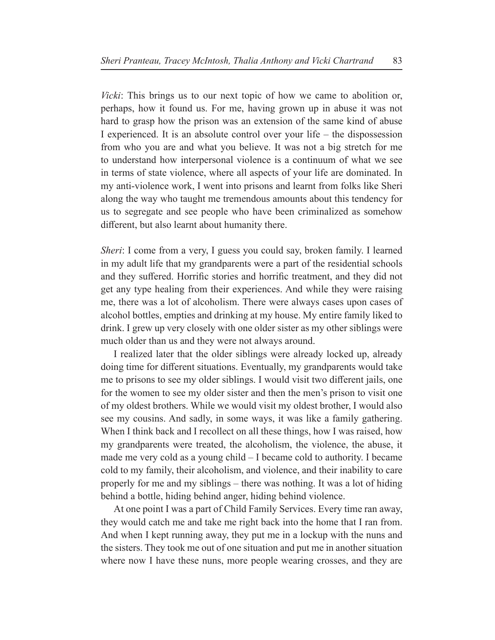*Vicki*: This brings us to our next topic of how we came to abolition or, perhaps, how it found us. For me, having grown up in abuse it was not hard to grasp how the prison was an extension of the same kind of abuse I experienced. It is an absolute control over your life – the dispossession from who you are and what you believe. It was not a big stretch for me to understand how interpersonal violence is a continuum of what we see in terms of state violence, where all aspects of your life are dominated. In my anti-violence work, I went into prisons and learnt from folks like Sheri along the way who taught me tremendous amounts about this tendency for us to segregate and see people who have been criminalized as somehow different, but also learnt about humanity there.

*Sheri*: I come from a very, I guess you could say, broken family. I learned in my adult life that my grandparents were a part of the residential schools and they suffered. Horrific stories and horrific treatment, and they did not get any type healing from their experiences. And while they were raising me, there was a lot of alcoholism. There were always cases upon cases of alcohol bottles, empties and drinking at my house. My entire family liked to drink. I grew up very closely with one older sister as my other siblings were much older than us and they were not always around.

I realized later that the older siblings were already locked up, already doing time for different situations. Eventually, my grandparents would take me to prisons to see my older siblings. I would visit two different jails, one for the women to see my older sister and then the men's prison to visit one of my oldest brothers. While we would visit my oldest brother, I would also see my cousins. And sadly, in some ways, it was like a family gathering. When I think back and I recollect on all these things, how I was raised, how my grandparents were treated, the alcoholism, the violence, the abuse, it made me very cold as a young child – I became cold to authority. I became cold to my family, their alcoholism, and violence, and their inability to care properly for me and my siblings – there was nothing. It was a lot of hiding behind a bottle, hiding behind anger, hiding behind violence.

At one point I was a part of Child Family Services. Every time ran away, they would catch me and take me right back into the home that I ran from. And when I kept running away, they put me in a lockup with the nuns and the sisters. They took me out of one situation and put me in another situation where now I have these nuns, more people wearing crosses, and they are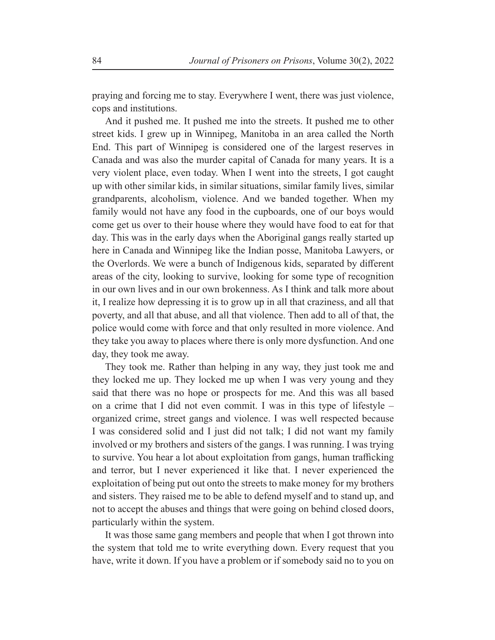praying and forcing me to stay. Everywhere I went, there was just violence, cops and institutions.

And it pushed me. It pushed me into the streets. It pushed me to other street kids. I grew up in Winnipeg, Manitoba in an area called the North End. This part of Winnipeg is considered one of the largest reserves in Canada and was also the murder capital of Canada for many years. It is a very violent place, even today. When I went into the streets, I got caught up with other similar kids, in similar situations, similar family lives, similar grandparents, alcoholism, violence. And we banded together. When my family would not have any food in the cupboards, one of our boys would come get us over to their house where they would have food to eat for that day. This was in the early days when the Aboriginal gangs really started up here in Canada and Winnipeg like the Indian posse, Manitoba Lawyers, or the Overlords. We were a bunch of Indigenous kids, separated by different areas of the city, looking to survive, looking for some type of recognition in our own lives and in our own brokenness. As I think and talk more about it, I realize how depressing it is to grow up in all that craziness, and all that poverty, and all that abuse, and all that violence. Then add to all of that, the police would come with force and that only resulted in more violence. And they take you away to places where there is only more dysfunction. And one day, they took me away.

They took me. Rather than helping in any way, they just took me and they locked me up. They locked me up when I was very young and they said that there was no hope or prospects for me. And this was all based on a crime that I did not even commit. I was in this type of lifestyle – organized crime, street gangs and violence. I was well respected because I was considered solid and I just did not talk; I did not want my family involved or my brothers and sisters of the gangs. I was running. I was trying to survive. You hear a lot about exploitation from gangs, human trafficking and terror, but I never experienced it like that. I never experienced the exploitation of being put out onto the streets to make money for my brothers and sisters. They raised me to be able to defend myself and to stand up, and not to accept the abuses and things that were going on behind closed doors, particularly within the system.

It was those same gang members and people that when I got thrown into the system that told me to write everything down. Every request that you have, write it down. If you have a problem or if somebody said no to you on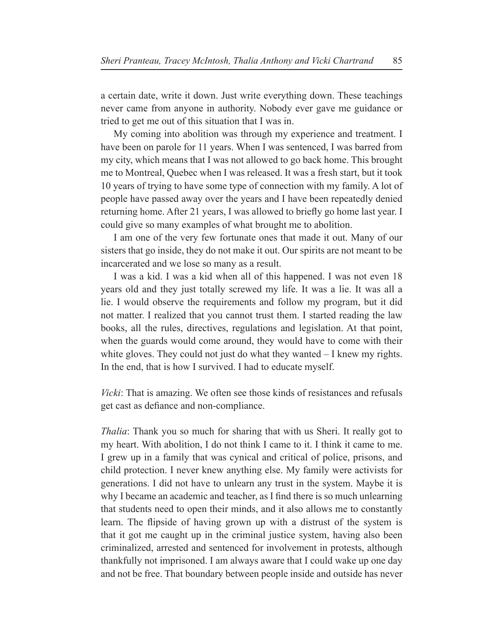a certain date, write it down. Just write everything down. These teachings never came from anyone in authority. Nobody ever gave me guidance or tried to get me out of this situation that I was in.

My coming into abolition was through my experience and treatment. I have been on parole for 11 years. When I was sentenced, I was barred from my city, which means that I was not allowed to go back home. This brought me to Montreal, Quebec when I was released. It was a fresh start, but it took 10 years of trying to have some type of connection with my family. A lot of people have passed away over the years and I have been repeatedly denied returning home. After 21 years, I was allowed to briefly go home last year. I could give so many examples of what brought me to abolition.

I am one of the very few fortunate ones that made it out. Many of our sisters that go inside, they do not make it out. Our spirits are not meant to be incarcerated and we lose so many as a result.

I was a kid. I was a kid when all of this happened. I was not even 18 years old and they just totally screwed my life. It was a lie. It was all a lie. I would observe the requirements and follow my program, but it did not matter. I realized that you cannot trust them. I started reading the law books, all the rules, directives, regulations and legislation. At that point, when the guards would come around, they would have to come with their white gloves. They could not just do what they wanted – I knew my rights. In the end, that is how I survived. I had to educate myself.

*Vicki*: That is amazing. We often see those kinds of resistances and refusals get cast as defiance and non-compliance.

*Thalia*: Thank you so much for sharing that with us Sheri. It really got to my heart. With abolition, I do not think I came to it. I think it came to me. I grew up in a family that was cynical and critical of police, prisons, and child protection. I never knew anything else. My family were activists for generations. I did not have to unlearn any trust in the system. Maybe it is why I became an academic and teacher, as I find there is so much unlearning that students need to open their minds, and it also allows me to constantly learn. The flipside of having grown up with a distrust of the system is that it got me caught up in the criminal justice system, having also been criminalized, arrested and sentenced for involvement in protests, although thankfully not imprisoned. I am always aware that I could wake up one day and not be free. That boundary between people inside and outside has never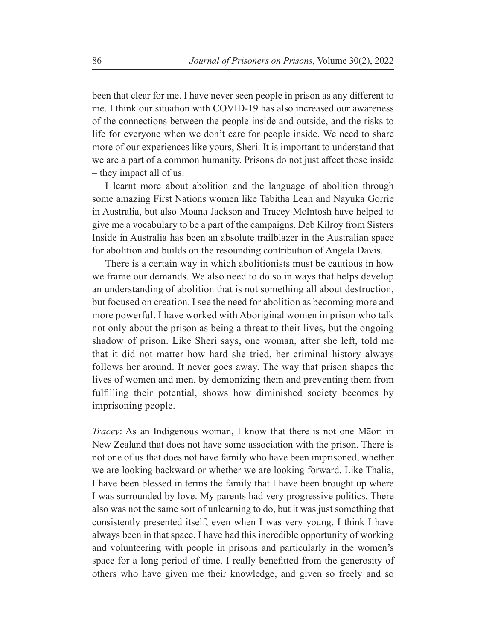been that clear for me. I have never seen people in prison as any different to me. I think our situation with COVID-19 has also increased our awareness of the connections between the people inside and outside, and the risks to life for everyone when we don't care for people inside. We need to share more of our experiences like yours, Sheri. It is important to understand that we are a part of a common humanity. Prisons do not just affect those inside – they impact all of us.

I learnt more about abolition and the language of abolition through some amazing First Nations women like Tabitha Lean and Nayuka Gorrie in Australia, but also Moana Jackson and Tracey McIntosh have helped to give me a vocabulary to be a part of the campaigns. Deb Kilroy from Sisters Inside in Australia has been an absolute trailblazer in the Australian space for abolition and builds on the resounding contribution of Angela Davis.

There is a certain way in which abolitionists must be cautious in how we frame our demands. We also need to do so in ways that helps develop an understanding of abolition that is not something all about destruction, but focused on creation. I see the need for abolition as becoming more and more powerful. I have worked with Aboriginal women in prison who talk not only about the prison as being a threat to their lives, but the ongoing shadow of prison. Like Sheri says, one woman, after she left, told me that it did not matter how hard she tried, her criminal history always follows her around. It never goes away. The way that prison shapes the lives of women and men, by demonizing them and preventing them from fulfilling their potential, shows how diminished society becomes by imprisoning people.

*Tracey*: As an Indigenous woman, I know that there is not one Māori in New Zealand that does not have some association with the prison. There is not one of us that does not have family who have been imprisoned, whether we are looking backward or whether we are looking forward. Like Thalia, I have been blessed in terms the family that I have been brought up where I was surrounded by love. My parents had very progressive politics. There also was not the same sort of unlearning to do, but it was just something that consistently presented itself, even when I was very young. I think I have always been in that space. I have had this incredible opportunity of working and volunteering with people in prisons and particularly in the women's space for a long period of time. I really benefitted from the generosity of others who have given me their knowledge, and given so freely and so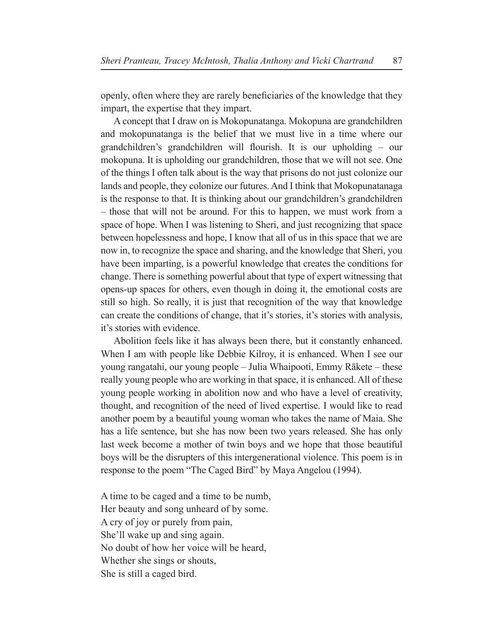openly, often where they are rarely beneficiaries of the knowledge that they impart, the expertise that they impart.

A concept that I draw on is Mokopunatanga. Mokopuna are grandchildren and mokopunatanga is the belief that we must live in a time where our grandchildren's grandchildren will flourish. It is our upholding  $-$  our mokopuna. It is upholding our grandchildren, those that we will not see. One of the things I often talk about is the way that prisons do not just colonize our lands and people, they colonize our futures. And I think that Mokopunatanaga is the response to that. It is thinking about our grandchildren's grandchildren – those that will not be around. For this to happen, we must work from a space of hope. When I was listening to Sheri, and just recognizing that space between hopelessness and hope, I know that all of us in this space that we are now in, to recognize the space and sharing, and the knowledge that Sheri, you have been imparting, is a powerful knowledge that creates the conditions for change. There is something powerful about that type of expert witnessing that opens-up spaces for others, even though in doing it, the emotional costs are still so high. So really, it is just that recognition of the way that knowledge can create the conditions of change, that it's stories, it's stories with analysis, it's stories with evidence.

Abolition feels like it has always been there, but it constantly enhanced. When I am with people like Debbie Kilroy, it is enhanced. When I see our young rangatahi, our young people – Julia Whaipooti, Emmy Rākete – these really young people who are working in that space, it is enhanced. All of these young people working in abolition now and who have a level of creativity, thought, and recognition of the need of lived expertise. I would like to read another poem by a beautiful young woman who takes the name of Maia. She has a life sentence, but she has now been two years released. She has only last week become a mother of twin boys and we hope that those beautiful boys will be the disrupters of this intergenerational violence. This poem is in response to the poem "The Caged Bird" by Maya Angelou (1994).

A time to be caged and a time to be numb, Her beauty and song unheard of by some. A cry of joy or purely from pain, She'll wake up and sing again. No doubt of how her voice will be heard, Whether she sings or shouts, She is still a caged bird.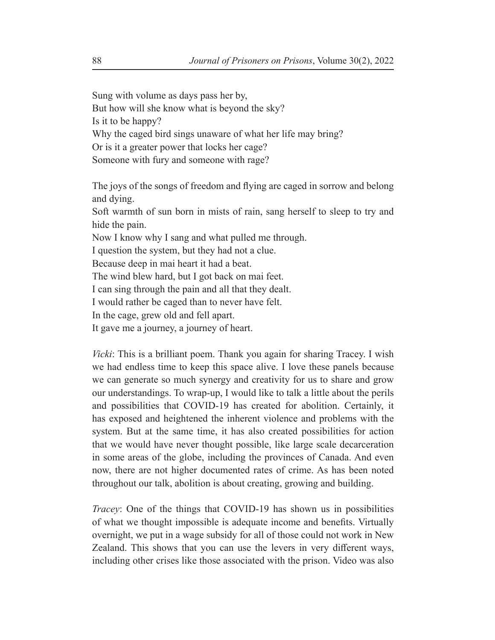Sung with volume as days pass her by,

But how will she know what is beyond the sky? Is it to be happy? Why the caged bird sings unaware of what her life may bring? Or is it a greater power that locks her cage? Someone with fury and someone with rage?

The joys of the songs of freedom and flying are caged in sorrow and belong and dying.

Soft warmth of sun born in mists of rain, sang herself to sleep to try and hide the pain.

Now I know why I sang and what pulled me through.

I question the system, but they had not a clue.

Because deep in mai heart it had a beat.

The wind blew hard, but I got back on mai feet.

I can sing through the pain and all that they dealt.

I would rather be caged than to never have felt.

In the cage, grew old and fell apart.

It gave me a journey, a journey of heart.

*Vicki*: This is a brilliant poem. Thank you again for sharing Tracey. I wish we had endless time to keep this space alive. I love these panels because we can generate so much synergy and creativity for us to share and grow our understandings. To wrap-up, I would like to talk a little about the perils and possibilities that COVID-19 has created for abolition. Certainly, it has exposed and heightened the inherent violence and problems with the system. But at the same time, it has also created possibilities for action that we would have never thought possible, like large scale decarceration in some areas of the globe, including the provinces of Canada. And even now, there are not higher documented rates of crime. As has been noted throughout our talk, abolition is about creating, growing and building.

*Tracey*: One of the things that COVID-19 has shown us in possibilities of what we thought impossible is adequate income and benefits. Virtually overnight, we put in a wage subsidy for all of those could not work in New Zealand. This shows that you can use the levers in very different ways, including other crises like those associated with the prison. Video was also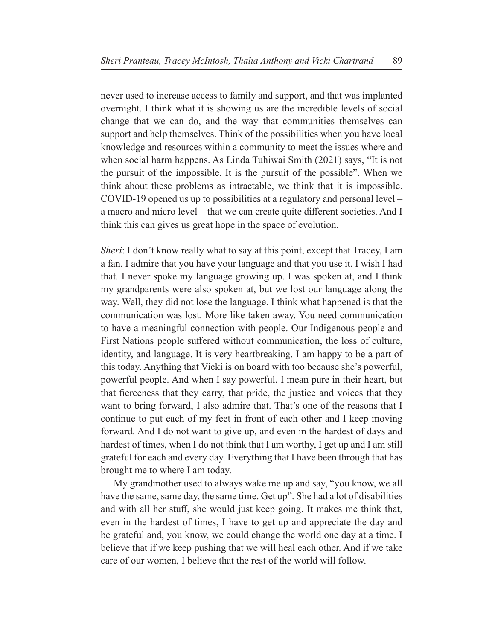never used to increase access to family and support, and that was implanted overnight. I think what it is showing us are the incredible levels of social change that we can do, and the way that communities themselves can support and help themselves. Think of the possibilities when you have local knowledge and resources within a community to meet the issues where and when social harm happens. As Linda Tuhiwai Smith (2021) says, "It is not the pursuit of the impossible. It is the pursuit of the possible". When we think about these problems as intractable, we think that it is impossible. COVID-19 opened us up to possibilities at a regulatory and personal level – a macro and micro level – that we can create quite different societies. And I think this can gives us great hope in the space of evolution.

*Sheri*: I don't know really what to say at this point, except that Tracey, I am a fan. I admire that you have your language and that you use it. I wish I had that. I never spoke my language growing up. I was spoken at, and I think my grandparents were also spoken at, but we lost our language along the way. Well, they did not lose the language. I think what happened is that the communication was lost. More like taken away. You need communication to have a meaningful connection with people. Our Indigenous people and First Nations people suffered without communication, the loss of culture, identity, and language. It is very heartbreaking. I am happy to be a part of this today. Anything that Vicki is on board with too because she's powerful, powerful people. And when I say powerful, I mean pure in their heart, but that fierceness that they carry, that pride, the justice and voices that they want to bring forward, I also admire that. That's one of the reasons that I continue to put each of my feet in front of each other and I keep moving forward. And I do not want to give up, and even in the hardest of days and hardest of times, when I do not think that I am worthy, I get up and I am still grateful for each and every day. Everything that I have been through that has brought me to where I am today.

My grandmother used to always wake me up and say, "you know, we all have the same, same day, the same time. Get up". She had a lot of disabilities and with all her stuff, she would just keep going. It makes me think that, even in the hardest of times, I have to get up and appreciate the day and be grateful and, you know, we could change the world one day at a time. I believe that if we keep pushing that we will heal each other. And if we take care of our women, I believe that the rest of the world will follow.